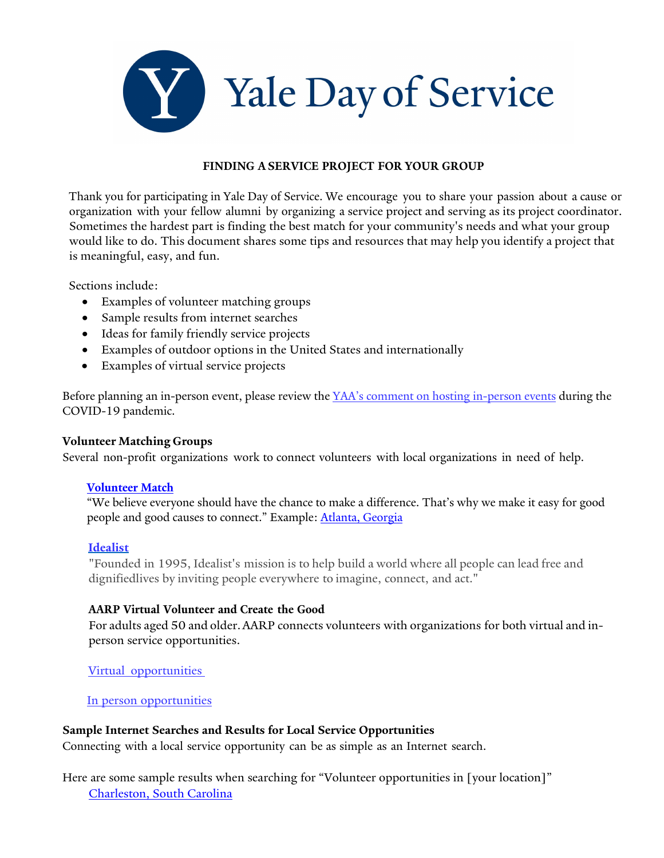

#### **FINDING A SERVICE PROJECT FOR YOUR GROUP**

Thank you for participating in Yale Day of Service. We encourage you to share your passion about a cause or organization with your fellow alumni by organizing a service project and serving as its project coordinator. Sometimes the hardest part is finding the best match for your community's needs and what your group would like to do. This document shares some tips and resources that may help you identify a project that is meaningful, easy, and fun.

Sections include:

- Examples of volunteer matching groups
- Sample results from internet searches
- Ideas for family friendly service projects
- Examples of outdoor options in the United States and internationally
- Examples of virtual service projects

Before planning an in-person event, please review the YAA's comment on hosting [in-person](https://alumni.yale.edu/news/yaa-comment-regarding-hosting-person-events) events during the COVID-19 pandemic.

## **Volunteer Matching Groups**

Several non-profit organizations work to connect volunteers with local organizations in need of help.

#### **[Volunteer Match](https://www.volunteermatch.org/?gclid=CjwKCAjw7--KBhAMEiwAxfpkWFo41RTbEwbNUs50HKfiGRTmF6ZOiNPeWHwh5EGPImw_xZkfLyrfrRoCZMIQAvD_BwE)**

"We believe everyone should have the chance to make a difference. That's why we make it easy for good people and good causes to connect." Example: [Atlanta, Georgia](https://www.volunteermatch.org/search/?l=Atlanta,%20GA,%20USA)

#### **[Idealist](https://www.idealist.org/en/volunteer?q&searchMode=true)**

"Founded in 1995, Idealist's mission is to help build a world where all people can lead free and dignifiedlives by inviting people everywhere to imagine, connect, and act."

## **AARP Virtual Volunteer and Create the Good**

For adults aged 50 and older. AARP connects volunteers with organizations for both virtual and inperson service opportunities.

[Virtual opportunities](https://www.aarp.org/volunteer/virtual/?intcmp=AE-VOL-BB-LL2)

In person [opportunities](https://createthegood.aarp.org/)

## **Sample Internet Searches and Results for Local Service Opportunities**

Connecting with a local service opportunity can be as simple as an Internet search.

Here are some sample results when searching for "Volunteer opportunities in [your location]" [Charleston, South Carolina](https://charlestoncommunityguide.com/community-service/)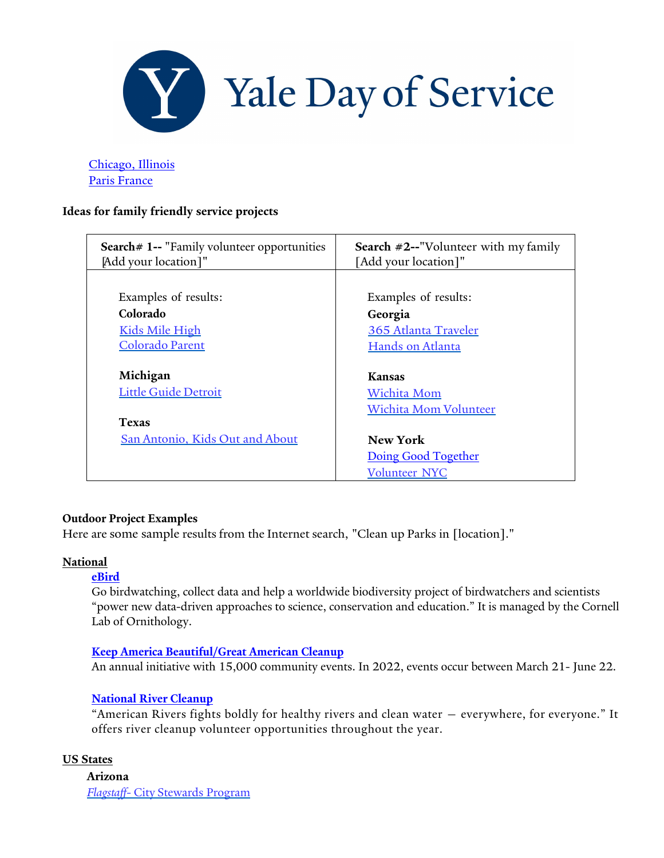

[Chicago, Illinois](https://www.yelp.com/search?find_desc=Volunteer+Opportunities&find_loc=Chicago%2C+IL)  [Paris France](https://jemengage.paris.fr/)

## **Ideas for family friendly service projects**

| Search# 1-- "Family volunteer opportunities                                                | <b>Search <math>#2</math>--"Volunteer with my family</b>                                                         |
|--------------------------------------------------------------------------------------------|------------------------------------------------------------------------------------------------------------------|
| [Add your location]"                                                                       | [Add your location]"                                                                                             |
| Examples of results:                                                                       | Examples of results:                                                                                             |
| Colorado                                                                                   | Georgia                                                                                                          |
| <b>Kids Mile High</b>                                                                      | 365 Atlanta Traveler                                                                                             |
| <b>Colorado Parent</b>                                                                     | Hands on Atlanta                                                                                                 |
| Michigan<br><b>Little Guide Detroit</b><br><b>Texas</b><br>San Antonio, Kids Out and About | Kansas<br>Wichita Mom<br><b>Wichita Mom Volunteer</b><br>New York<br>Doing Good Together<br><b>Volunteer NYC</b> |

## **Outdoor Project Examples**

Here are some sample results from the Internet search, "Clean up Parks in [location]."

#### **National**

#### **[eBird](https://ebird.org/about/portals/)**

Go birdwatching, collect data and help a worldwide biodiversity project of birdwatchers and scientists "power new data-driven approaches to science, conservation and education." It is managed by the Cornell Lab of Ornithology.

#### **[Keep America Beautiful/Great American Cleanup](https://kab.org/programs/great-american-cleanup/)**

An annual initiative with 15,000 community events. In 2022, events occur between March 21- June 22.

## **[National River Cleanup](https://www.americanrivers.org/make-an-impact/national-river-cleanup/volunteers/)**

"American Rivers fights boldly for healthy rivers and clean water — everywhere, for everyone." It offers river cleanup volunteer opportunities throughout the year.

## **US States**

**Arizona** *Flagstaff-* City [Stewards](https://www.flagstaff.az.gov/3261/Community-Stewards-Program) Program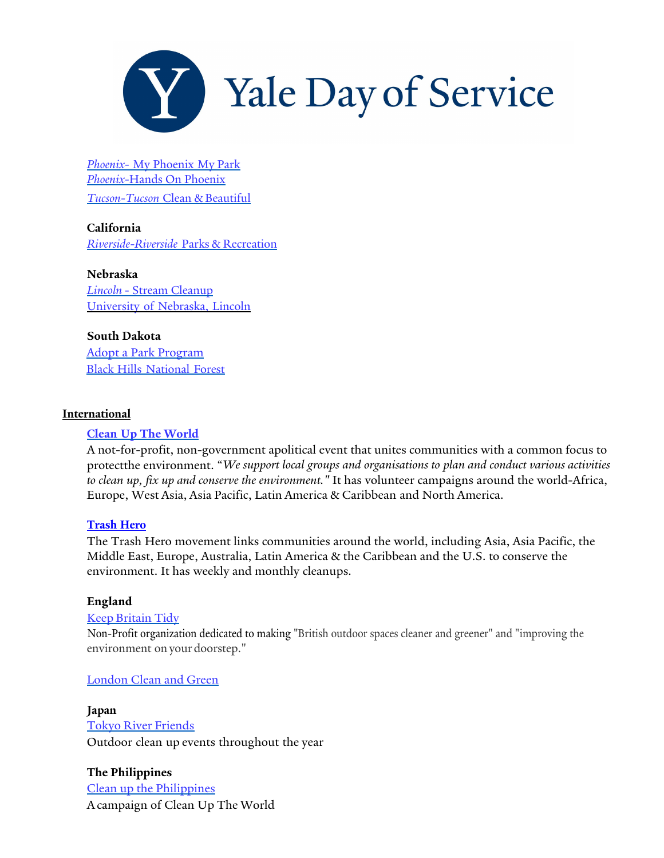

*[Phoenix-](https://www.phoenix.gov/parks/volunteer-opportunities)* My Phoenix My Park *Phoenix-*Hands [On Phoenix](https://www.handsonphoenix.org/opportunity/a0CA000000OpYsQMAV) *[Tucson-Tucson](https://tucsoncleanandbeautiful.org/adopt-a-park-public-areas/volunteer-opportunities/)* Clean & Beautiful

**California** *[Riverside-Riverside](https://riversideca.galaxydigital.com/agency/detail/?agency_id=92398)* Parks & Recreation

**Nebraska** *Lincoln* - Stream [Cleanup](https://www.lincoln.ne.gov/City/Departments/LTU/Utilities/Watershed-Management/Volunteer/Stream-Cleanup) [University](https://www.unl.edu/wht/volunteer-opportunities-0) of Nebraska, Lincoln

**South Dakota** [Adopt a Park Program](https://www.rcgov.org/index.php?option=com_docman&view=download&alias=11162-adopt-a-park-program&category_slug=parks-recreation-department&Itemid=149) Black Hills [National](https://www.fs.usda.gov/main/blackhills/workingtogether/volunteering) Forest

## **International**

## **Clean Up The [World](https://www.cleanuptheworld.org/)**

A not-for-profit, non-government apolitical event that unites communities with a common focus to protectthe environment. "*We support local groups and organisations to plan and conduct various activities to clean up, fix up and conserve the environment."* It has volunteer campaigns around the world-Africa, Europe, West Asia, Asia Pacific, Latin America & Caribbean and North America.

## **[Trash Hero](https://trashhero.org/our-network/)**

The Trash Hero movement links communities around the world, including Asia, Asia Pacific, the Middle East, Europe, Australia, Latin America & the Caribbean and the U.S. to conserve the environment. It has weekly and monthly cleanups.

## **England**

## Keep [Britain](https://www.keepbritaintidy.org/) Tidy

Non-Profit organization dedicated to making "British outdoor spaces cleaner and greener" and "improving the environment onyour doorstep."

## [London](https://getinvolved.london.ca/londoncleangreen) Clean and Green

**Japan** Tokyo River [Friends](http://www.tokyoriverfriends.org/) Outdoor clean up events throughout the year

**The Philippines** Clean up the [Philippines](https://www.facebook.com/cleanupthephilippines/) Acampaign of Clean Up The World